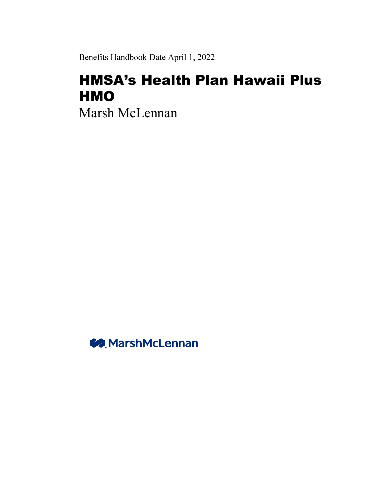Benefits Handbook Date April 1, 2022

# HMSA's Health Plan Hawaii Plus **HMO**

Marsh McLennan

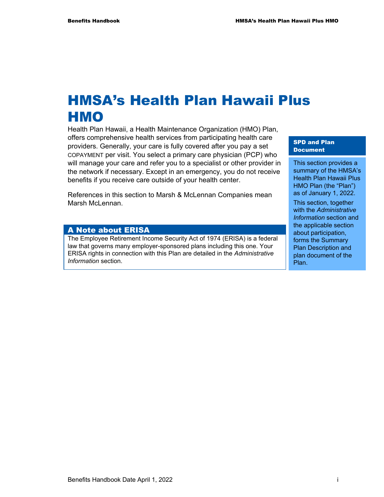# HMSA's Health Plan Hawaii Plus HMO

Health Plan Hawaii, a Health Maintenance Organization (HMO) Plan, offers comprehensive health services from participating health care providers. Generally, your care is fully covered after you pay a set COPAYMENT per visit. You select a primary care physician (PCP) who will manage your care and refer you to a specialist or other provider in the network if necessary. Except in an emergency, you do not receive benefits if you receive care outside of your health center.

References in this section to Marsh & McLennan Companies mean Marsh McLennan.

#### A Note about ERISA

The Employee Retirement Income Security Act of 1974 (ERISA) is a federal law that governs many employer-sponsored plans including this one. Your ERISA rights in connection with this Plan are detailed in the *Administrative Information* section.

SPD and Plan Document

This section provides a summary of the HMSA's Health Plan Hawaii Plus HMO Plan (the "Plan") as of January 1, 2022.

This section, together with the *Administrative Information* section and the applicable section about participation, forms the Summary Plan Description and plan document of the Plan.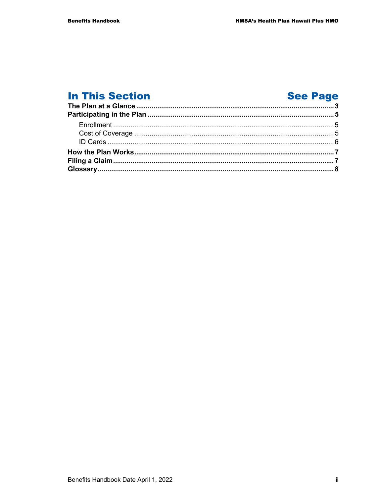## **In This Section**

## **See Page**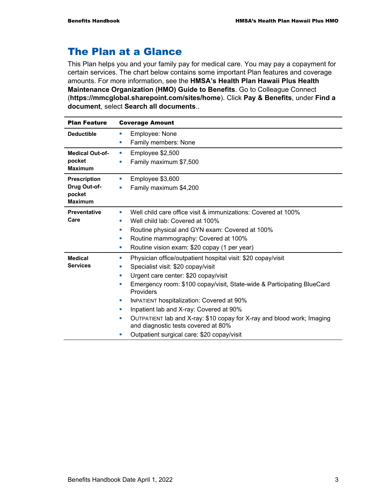## The Plan at a Glance

This Plan helps you and your family pay for medical care. You may pay a copayment for certain services. The chart below contains some important Plan features and coverage amounts. For more information, see the **HMSA's Health Plan Hawaii Plus Health Maintenance Organization (HMO) Guide to Benefits**. Go to Colleague Connect (**https://mmcglobal.sharepoint.com/sites/home**). Click **Pay & Benefits**, under **Find a document**, select **Search all documents**..

| <b>Plan Feature</b>      | <b>Coverage Amount</b>                                                                                        |
|--------------------------|---------------------------------------------------------------------------------------------------------------|
| <b>Deductible</b>        | Employee: None<br>ш                                                                                           |
|                          | Family members: None<br>ш                                                                                     |
| <b>Medical Out-of-</b>   | Employee \$2,500<br>ш                                                                                         |
| pocket<br><b>Maximum</b> | Family maximum \$7,500<br>п                                                                                   |
| <b>Prescription</b>      | Employee \$3,600<br>ш                                                                                         |
| Drug Out-of-             | Family maximum \$4,200<br>a,                                                                                  |
| pocket<br><b>Maximum</b> |                                                                                                               |
| <b>Preventative</b>      | Well child care office visit & immunizations: Covered at 100%<br>ш                                            |
| Care                     | Well child lab: Covered at 100%<br>٠                                                                          |
|                          | Routine physical and GYN exam: Covered at 100%<br>٠                                                           |
|                          | Routine mammography: Covered at 100%<br>×                                                                     |
|                          | Routine vision exam: \$20 copay (1 per year)<br>ш                                                             |
| <b>Medical</b>           | Physician office/outpatient hospital visit: \$20 copay/visit<br>ш                                             |
| <b>Services</b>          | Specialist visit: \$20 copay/visit<br>ш                                                                       |
|                          | Urgent care center: \$20 copay/visit<br>ш                                                                     |
|                          | Emergency room: \$100 copay/visit, State-wide & Participating BlueCard<br>a,<br>Providers                     |
|                          | <b>INPATIENT hospitalization: Covered at 90%</b><br>ш                                                         |
|                          | Inpatient lab and X-ray: Covered at 90%                                                                       |
|                          | OUTPATIENT lab and X-ray: \$10 copay for X-ray and blood work; Imaging<br>and diagnostic tests covered at 80% |
|                          | Outpatient surgical care: \$20 copay/visit                                                                    |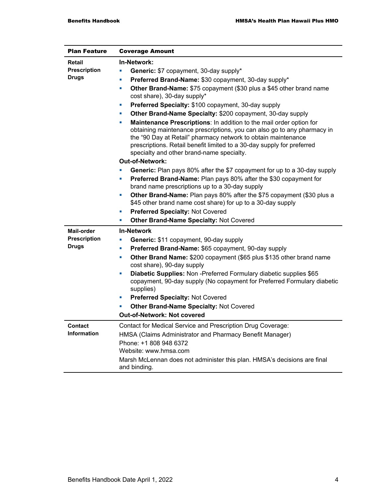| <b>Plan Feature</b> | <b>Coverage Amount</b>                                                                                                                                                                                                                                                                                                                      |  |  |  |
|---------------------|---------------------------------------------------------------------------------------------------------------------------------------------------------------------------------------------------------------------------------------------------------------------------------------------------------------------------------------------|--|--|--|
| <b>Retail</b>       | In-Network:                                                                                                                                                                                                                                                                                                                                 |  |  |  |
| <b>Prescription</b> | Generic: \$7 copayment, 30-day supply*<br>a,                                                                                                                                                                                                                                                                                                |  |  |  |
| <b>Drugs</b>        | Preferred Brand-Name: \$30 copayment, 30-day supply*<br>a,                                                                                                                                                                                                                                                                                  |  |  |  |
|                     | Other Brand-Name: \$75 copayment (\$30 plus a \$45 other brand name<br>a,                                                                                                                                                                                                                                                                   |  |  |  |
|                     | cost share), 30-day supply*                                                                                                                                                                                                                                                                                                                 |  |  |  |
|                     | Preferred Specialty: \$100 copayment, 30-day supply<br>$\blacksquare$                                                                                                                                                                                                                                                                       |  |  |  |
|                     | Other Brand-Name Specialty: \$200 copayment, 30-day supply<br>ш                                                                                                                                                                                                                                                                             |  |  |  |
|                     | Maintenance Prescriptions: In addition to the mail order option for<br>×<br>obtaining maintenance prescriptions, you can also go to any pharmacy in<br>the "90 Day at Retail" pharmacy network to obtain maintenance<br>prescriptions. Retail benefit limited to a 30-day supply for preferred<br>specialty and other brand-name specialty. |  |  |  |
|                     | <b>Out-of-Network:</b>                                                                                                                                                                                                                                                                                                                      |  |  |  |
|                     | Generic: Plan pays 80% after the \$7 copayment for up to a 30-day supply                                                                                                                                                                                                                                                                    |  |  |  |
|                     | Preferred Brand-Name: Plan pays 80% after the \$30 copayment for<br>Ľ,<br>brand name prescriptions up to a 30-day supply                                                                                                                                                                                                                    |  |  |  |
|                     | Other Brand-Name: Plan pays 80% after the \$75 copayment (\$30 plus a<br>×<br>\$45 other brand name cost share) for up to a 30-day supply                                                                                                                                                                                                   |  |  |  |
|                     | <b>Preferred Specialty: Not Covered</b><br>a,                                                                                                                                                                                                                                                                                               |  |  |  |
|                     | Other Brand-Name Specialty: Not Covered<br>L.                                                                                                                                                                                                                                                                                               |  |  |  |
| <b>Mail-order</b>   | <b>In-Network</b>                                                                                                                                                                                                                                                                                                                           |  |  |  |
| <b>Prescription</b> | Generic: \$11 copayment, 90-day supply<br>a,                                                                                                                                                                                                                                                                                                |  |  |  |
| <b>Drugs</b>        | Preferred Brand-Name: \$65 copayment, 90-day supply<br>a,                                                                                                                                                                                                                                                                                   |  |  |  |
|                     | Other Brand Name: \$200 copayment (\$65 plus \$135 other brand name<br>a,<br>cost share), 90-day supply                                                                                                                                                                                                                                     |  |  |  |
|                     | Diabetic Supplies: Non-Preferred Formulary diabetic supplies \$65<br>a,<br>copayment, 90-day supply (No copayment for Preferred Formulary diabetic<br>supplies)                                                                                                                                                                             |  |  |  |
|                     | Preferred Specialty: Not Covered<br>п                                                                                                                                                                                                                                                                                                       |  |  |  |
|                     | <b>Other Brand-Name Specialty: Not Covered</b>                                                                                                                                                                                                                                                                                              |  |  |  |
|                     | Out-of-Network: Not covered                                                                                                                                                                                                                                                                                                                 |  |  |  |
| <b>Contact</b>      | Contact for Medical Service and Prescription Drug Coverage:                                                                                                                                                                                                                                                                                 |  |  |  |
| <b>Information</b>  | HMSA (Claims Administrator and Pharmacy Benefit Manager)                                                                                                                                                                                                                                                                                    |  |  |  |
|                     | Phone: +1 808 948 6372                                                                                                                                                                                                                                                                                                                      |  |  |  |
|                     | Website: www.hmsa.com                                                                                                                                                                                                                                                                                                                       |  |  |  |
|                     | Marsh McLennan does not administer this plan. HMSA's decisions are final<br>and binding.                                                                                                                                                                                                                                                    |  |  |  |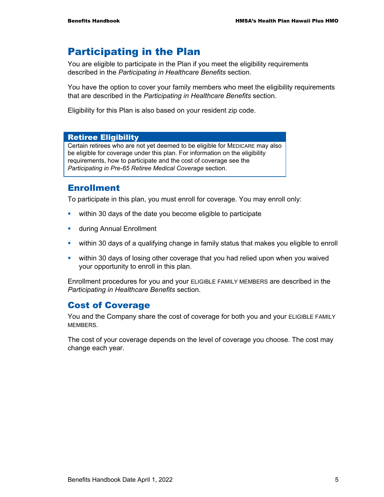## Participating in the Plan

You are eligible to participate in the Plan if you meet the eligibility requirements described in the *Participating in Healthcare Benefits* section.

You have the option to cover your family members who meet the eligibility requirements that are described in the *Participating in Healthcare Benefits* section.

Eligibility for this Plan is also based on your resident zip code.

#### Retiree Eligibility

Certain retirees who are not yet deemed to be eligible for MEDICARE may also be eligible for coverage under this plan. For information on the eligibility requirements, how to participate and the cost of coverage see the *Participating in Pre-65 Retiree Medical Coverage* section.

### Enrollment

To participate in this plan, you must enroll for coverage. You may enroll only:

- within 30 days of the date you become eligible to participate
- **u.** during Annual Enrollment
- within 30 days of a qualifying change in family status that makes you eligible to enroll
- within 30 days of losing other coverage that you had relied upon when you waived your opportunity to enroll in this plan.

Enrollment procedures for you and your ELIGIBLE FAMILY MEMBERS are described in the *Participating in Healthcare Benefits* section.

### Cost of Coverage

You and the Company share the cost of coverage for both you and your ELIGIBLE FAMILY MEMBERS.

The cost of your coverage depends on the level of coverage you choose. The cost may change each year.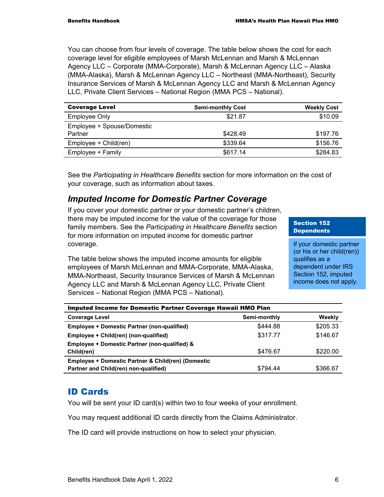You can choose from four levels of coverage. The table below shows the cost for each coverage level for eligible employees of Marsh McLennan and Marsh & McLennan Agency LLC – Corporate (MMA-Corporate), Marsh & McLennan Agency LLC – Alaska (MMA-Alaska), Marsh & McLennan Agency LLC – Northeast (MMA-Northeast), Security Insurance Services of Marsh & McLennan Agency LLC and Marsh & McLennan Agency LLC, Private Client Services – National Region (MMA PCS – National).

| <b>Coverage Level</b>      | <b>Semi-monthly Cost</b> | <b>Weekly Cost</b> |
|----------------------------|--------------------------|--------------------|
| <b>Employee Only</b>       | \$21.87                  | \$10.09            |
| Employee + Spouse/Domestic |                          |                    |
| Partner                    | \$428.49                 | \$197.76           |
| Employee + Child(ren)      | \$339.64                 | \$156.76           |
| Employee + Family          | \$617.14                 | \$284.83           |

See the *Participating in Healthcare Benefits* section for more information on the cost of your coverage, such as information about taxes.

### *Imputed Income for Domestic Partner Coverage*

If you cover your domestic partner or your domestic partner's children, there may be imputed income for the value of the coverage for those family members. See the *Participating in Healthcare Benefits* section for more information on imputed income for domestic partner coverage.

The table below shows the imputed income amounts for eligible employees of Marsh McLennan and MMA-Corporate, MMA-Alaska, MMA-Northeast, Security Insurance Services of Marsh & McLennan Agency LLC and Marsh & McLennan Agency LLC, Private Client Services – National Region (MMA PCS – National).

#### Section 152 **Dependents**

If your domestic partner (or his or her child(ren)) qualifies as a dependent under IRS Section 152, imputed income does not apply.

| Imputed Income for Domestic Partner Coverage Hawaii HMO Plan |              |          |  |  |  |
|--------------------------------------------------------------|--------------|----------|--|--|--|
| <b>Coverage Level</b>                                        | Semi-monthly | Weekly   |  |  |  |
| <b>Employee + Domestic Partner (non-qualified)</b>           | \$444.88     | \$205.33 |  |  |  |
| Employee + Child(ren) (non-qualified)                        | \$317.77     | \$146.67 |  |  |  |
| Employee + Domestic Partner (non-qualified) &                |              |          |  |  |  |
| Child(ren)                                                   | \$476.67     | \$220.00 |  |  |  |
| Employee + Domestic Partner & Child(ren) (Domestic           |              |          |  |  |  |
| Partner and Child(ren) non-qualified)                        | \$794.44     | \$366.67 |  |  |  |

## ID Cards

You will be sent your ID card(s) within two to four weeks of your enrollment.

You may request additional ID cards directly from the Claims Administrator.

The ID card will provide instructions on how to select your physician.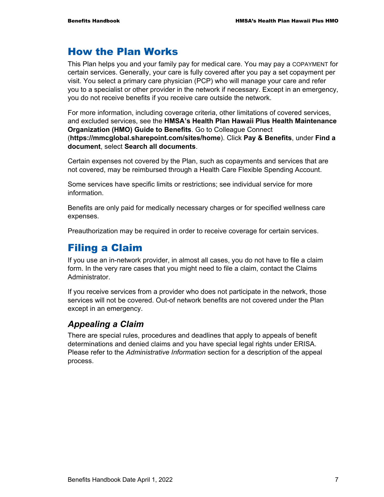## How the Plan Works

This Plan helps you and your family pay for medical care. You may pay a COPAYMENT for certain services. Generally, your care is fully covered after you pay a set copayment per visit. You select a primary care physician (PCP) who will manage your care and refer you to a specialist or other provider in the network if necessary. Except in an emergency, you do not receive benefits if you receive care outside the network.

For more information, including coverage criteria, other limitations of covered services, and excluded services, see the **HMSA's Health Plan Hawaii Plus Health Maintenance Organization (HMO) Guide to Benefits**. Go to Colleague Connect (**https://mmcglobal.sharepoint.com/sites/home**). Click **Pay & Benefits**, under **Find a document**, select **Search all documents**.

Certain expenses not covered by the Plan, such as copayments and services that are not covered, may be reimbursed through a Health Care Flexible Spending Account.

Some services have specific limits or restrictions; see individual service for more information.

Benefits are only paid for medically necessary charges or for specified wellness care expenses.

Preauthorization may be required in order to receive coverage for certain services.

## Filing a Claim

If you use an in-network provider, in almost all cases, you do not have to file a claim form. In the very rare cases that you might need to file a claim, contact the Claims Administrator.

If you receive services from a provider who does not participate in the network, those services will not be covered. Out-of network benefits are not covered under the Plan except in an emergency.

### *Appealing a Claim*

There are special rules, procedures and deadlines that apply to appeals of benefit determinations and denied claims and you have special legal rights under ERISA. Please refer to the *Administrative Information* section for a description of the appeal process.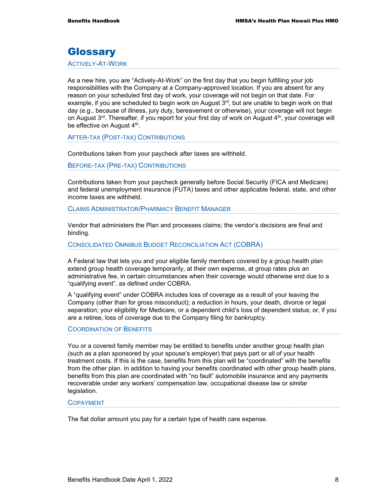## **Glossary**

ACTIVELY-AT-WORK

As a new hire, you are "Actively-At-Work" on the first day that you begin fulfilling your job responsibilities with the Company at a Company-approved location. If you are absent for any reason on your scheduled first day of work, your coverage will not begin on that date. For example, if you are scheduled to begin work on August  $3<sup>rd</sup>$ , but are unable to begin work on that day (e.g., because of illness, jury duty, bereavement or otherwise), your coverage will not begin on August  $3<sup>rd</sup>$ . Thereafter, if you report for your first day of work on August  $4<sup>th</sup>$ , your coverage will be effective on August 4<sup>th</sup>.

AFTER-TAX (POST-TAX) CONTRIBUTIONS

Contributions taken from your paycheck after taxes are withheld.

BEFORE-TAX (PRE-TAX) CONTRIBUTIONS

Contributions taken from your paycheck generally before Social Security (FICA and Medicare) and federal unemployment insurance (FUTA) taxes and other applicable federal, state, and other income taxes are withheld.

CLAIMS ADMINISTRATOR/PHARMACY BENEFIT MANAGER

Vendor that administers the Plan and processes claims; the vendor's decisions are final and binding.

CONSOLIDATED OMNIBUS BUDGET RECONCILIATION ACT (COBRA)

A Federal law that lets you and your eligible family members covered by a group health plan extend group health coverage temporarily, at their own expense, at group rates plus an administrative fee, in certain circumstances when their coverage would otherwise end due to a "qualifying event", as defined under COBRA.

A "qualifying event" under COBRA includes loss of coverage as a result of your leaving the Company (other than for gross misconduct); a reduction in hours, your death, divorce or legal separation; your eligibility for Medicare, or a dependent child's loss of dependent status; or, if you are a retiree, loss of coverage due to the Company filing for bankruptcy.

#### COORDINATION OF BENEFITS

You or a covered family member may be entitled to benefits under another group health plan (such as a plan sponsored by your spouse's employer) that pays part or all of your health treatment costs. If this is the case, benefits from this plan will be "coordinated" with the benefits from the other plan. In addition to having your benefits coordinated with other group health plans, benefits from this plan are coordinated with "no fault" automobile insurance and any payments recoverable under any workers' compensation law, occupational disease law or similar legislation.

#### COPAYMENT

The flat dollar amount you pay for a certain type of health care expense.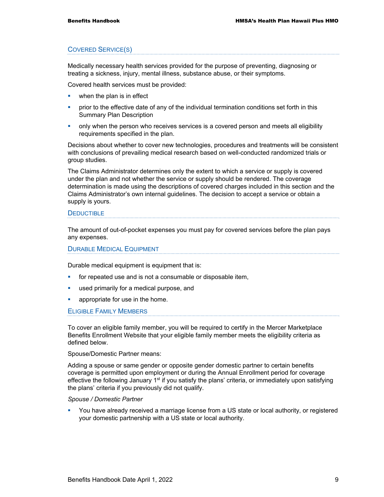#### COVERED SERVICE(S)

Medically necessary health services provided for the purpose of preventing, diagnosing or treating a sickness, injury, mental illness, substance abuse, or their symptoms.

Covered health services must be provided:

- when the plan is in effect
- **•** prior to the effective date of any of the individual termination conditions set forth in this Summary Plan Description
- only when the person who receives services is a covered person and meets all eligibility requirements specified in the plan.

Decisions about whether to cover new technologies, procedures and treatments will be consistent with conclusions of prevailing medical research based on well-conducted randomized trials or group studies.

The Claims Administrator determines only the extent to which a service or supply is covered under the plan and not whether the service or supply should be rendered. The coverage determination is made using the descriptions of covered charges included in this section and the Claims Administrator's own internal guidelines. The decision to accept a service or obtain a supply is yours.

#### **DEDUCTIBLE**

The amount of out-of-pocket expenses you must pay for covered services before the plan pays any expenses.

#### DURABLE MEDICAL EQUIPMENT

Durable medical equipment is equipment that is:

- for repeated use and is not a consumable or disposable item,
- used primarily for a medical purpose, and
- appropriate for use in the home.

#### ELIGIBLE FAMILY MEMBERS

To cover an eligible family member, you will be required to certify in the Mercer Marketplace Benefits Enrollment Website that your eligible family member meets the eligibility criteria as defined below.

Spouse/Domestic Partner means:

Adding a spouse or same gender or opposite gender domestic partner to certain benefits coverage is permitted upon employment or during the Annual Enrollment period for coverage effective the following January  $1<sup>st</sup>$  if you satisfy the plans' criteria, or immediately upon satisfying the plans' criteria if you previously did not qualify.

#### *Spouse / Domestic Partner*

 You have already received a marriage license from a US state or local authority, or registered your domestic partnership with a US state or local authority.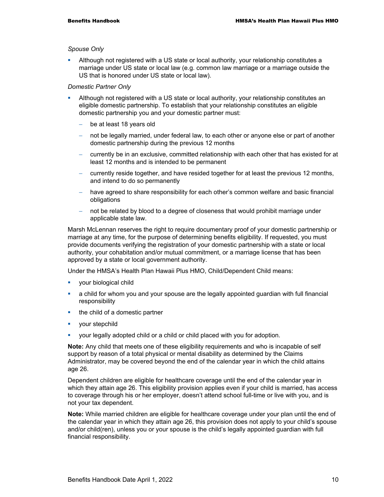#### *Spouse Only*

 Although not registered with a US state or local authority, your relationship constitutes a marriage under US state or local law (e.g. common law marriage or a marriage outside the US that is honored under US state or local law).

#### *Domestic Partner Only*

- Although not registered with a US state or local authority, your relationship constitutes an eligible domestic partnership. To establish that your relationship constitutes an eligible domestic partnership you and your domestic partner must:
	- be at least 18 years old
	- not be legally married, under federal law, to each other or anyone else or part of another domestic partnership during the previous 12 months
	- − currently be in an exclusive, committed relationship with each other that has existed for at least 12 months and is intended to be permanent
	- − currently reside together, and have resided together for at least the previous 12 months, and intend to do so permanently
	- have agreed to share responsibility for each other's common welfare and basic financial obligations
	- not be related by blood to a degree of closeness that would prohibit marriage under applicable state law.

Marsh McLennan reserves the right to require documentary proof of your domestic partnership or marriage at any time, for the purpose of determining benefits eligibility. If requested, you must provide documents verifying the registration of your domestic partnership with a state or local authority, your cohabitation and/or mutual commitment, or a marriage license that has been approved by a state or local government authority.

Under the HMSA's Health Plan Hawaii Plus HMO, Child/Dependent Child means:

- **•** your biological child
- a child for whom you and your spouse are the legally appointed guardian with full financial responsibility
- $\blacksquare$  the child of a domestic partner
- **vour stepchild**
- your legally adopted child or a child or child placed with you for adoption.

**Note:** Any child that meets one of these eligibility requirements and who is incapable of self support by reason of a total physical or mental disability as determined by the Claims Administrator, may be covered beyond the end of the calendar year in which the child attains age 26.

Dependent children are eligible for healthcare coverage until the end of the calendar year in which they attain age 26. This eligibility provision applies even if your child is married, has access to coverage through his or her employer, doesn't attend school full-time or live with you, and is not your tax dependent.

**Note:** While married children are eligible for healthcare coverage under your plan until the end of the calendar year in which they attain age 26, this provision does not apply to your child's spouse and/or child(ren), unless you or your spouse is the child's legally appointed guardian with full financial responsibility.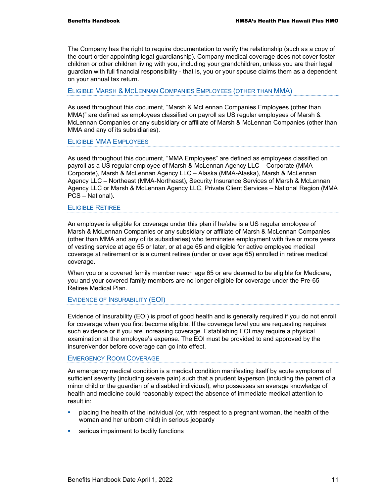The Company has the right to require documentation to verify the relationship (such as a copy of the court order appointing legal guardianship). Company medical coverage does not cover foster children or other children living with you, including your grandchildren, unless you are their legal guardian with full financial responsibility - that is, you or your spouse claims them as a dependent on your annual tax return.

#### ELIGIBLE MARSH & MCLENNAN COMPANIES EMPLOYEES (OTHER THAN MMA)

As used throughout this document, "Marsh & McLennan Companies Employees (other than MMA)" are defined as employees classified on payroll as US regular employees of Marsh & McLennan Companies or any subsidiary or affiliate of Marsh & McLennan Companies (other than MMA and any of its subsidiaries).

ELIGIBLE MMA EMPLOYEES

As used throughout this document, "MMA Employees" are defined as employees classified on payroll as a US regular employee of Marsh & McLennan Agency LLC – Corporate (MMA-Corporate), Marsh & McLennan Agency LLC – Alaska (MMA-Alaska), Marsh & McLennan Agency LLC – Northeast (MMA-Northeast), Security Insurance Services of Marsh & McLennan Agency LLC or Marsh & McLennan Agency LLC, Private Client Services – National Region (MMA PCS – National).

#### ELIGIBLE RETIREE

An employee is eligible for coverage under this plan if he/she is a US regular employee of Marsh & McLennan Companies or any subsidiary or affiliate of Marsh & McLennan Companies (other than MMA and any of its subsidiaries) who terminates employment with five or more years of vesting service at age 55 or later, or at age 65 and eligible for active employee medical coverage at retirement or is a current retiree (under or over age 65) enrolled in retiree medical coverage.

When you or a covered family member reach age 65 or are deemed to be eligible for Medicare, you and your covered family members are no longer eligible for coverage under the Pre-65 Retiree Medical Plan.

#### EVIDENCE OF INSURABILITY (EOI)

Evidence of Insurability (EOI) is proof of good health and is generally required if you do not enroll for coverage when you first become eligible. If the coverage level you are requesting requires such evidence or if you are increasing coverage. Establishing EOI may require a physical examination at the employee's expense. The EOI must be provided to and approved by the insurer/vendor before coverage can go into effect.

#### EMERGENCY ROOM COVERAGE

An emergency medical condition is a medical condition manifesting itself by acute symptoms of sufficient severity (including severe pain) such that a prudent layperson (including the parent of a minor child or the guardian of a disabled individual), who possesses an average knowledge of health and medicine could reasonably expect the absence of immediate medical attention to result in:

- placing the health of the individual (or, with respect to a pregnant woman, the health of the woman and her unborn child) in serious jeopardy
- **serious impairment to bodily functions**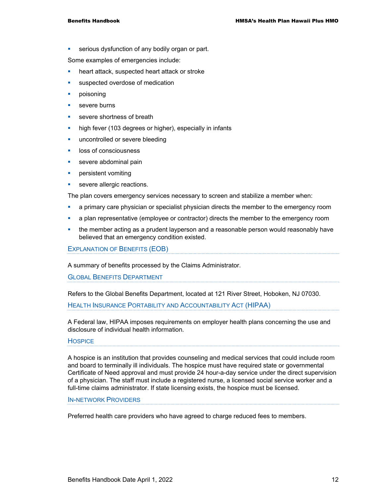**serious dysfunction of any bodily organ or part.** 

Some examples of emergencies include:

- **heart attack, suspected heart attack or stroke**
- suspected overdose of medication
- **poisoning**
- **severe burns**
- **severe shortness of breath**
- high fever (103 degrees or higher), especially in infants
- **uncontrolled or severe bleeding**
- **IDOSS of consciousness**
- **severe abdominal pain**
- **•** persistent vomiting
- severe allergic reactions.

The plan covers emergency services necessary to screen and stabilize a member when:

- **•** a primary care physician or specialist physician directs the member to the emergency room
- **a** plan representative (employee or contractor) directs the member to the emergency room
- **the member acting as a prudent layperson and a reasonable person would reasonably have** believed that an emergency condition existed.

EXPLANATION OF BENEFITS (EOB)

A summary of benefits processed by the Claims Administrator.

**GLOBAL BENEFITS DEPARTMENT** 

Refers to the Global Benefits Department, located at 121 River Street, Hoboken, NJ 07030.

HEALTH INSURANCE PORTABILITY AND ACCOUNTABILITY ACT (HIPAA)

A Federal law, HIPAA imposes requirements on employer health plans concerning the use and disclosure of individual health information.

#### **HOSPICE**

A hospice is an institution that provides counseling and medical services that could include room and board to terminally ill individuals. The hospice must have required state or governmental Certificate of Need approval and must provide 24 hour-a-day service under the direct supervision of a physician. The staff must include a registered nurse, a licensed social service worker and a full-time claims administrator. If state licensing exists, the hospice must be licensed.

#### IN-NETWORK PROVIDERS

Preferred health care providers who have agreed to charge reduced fees to members.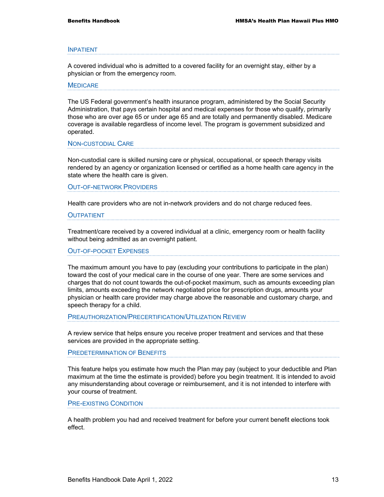#### INPATIENT

A covered individual who is admitted to a covered facility for an overnight stay, either by a physician or from the emergency room.

#### **MEDICARE**

The US Federal government's health insurance program, administered by the Social Security Administration, that pays certain hospital and medical expenses for those who qualify, primarily those who are over age 65 or under age 65 and are totally and permanently disabled. Medicare coverage is available regardless of income level. The program is government subsidized and operated.

NON-CUSTODIAL CARE

Non-custodial care is skilled nursing care or physical, occupational, or speech therapy visits rendered by an agency or organization licensed or certified as a home health care agency in the state where the health care is given.

OUT-OF-NETWORK PROVIDERS

Health care providers who are not in-network providers and do not charge reduced fees.

#### **OUTPATIENT**

Treatment/care received by a covered individual at a clinic, emergency room or health facility without being admitted as an overnight patient.

#### OUT-OF-POCKET EXPENSES

The maximum amount you have to pay (excluding your contributions to participate in the plan) toward the cost of your medical care in the course of one year. There are some services and charges that do not count towards the out-of-pocket maximum, such as amounts exceeding plan limits, amounts exceeding the network negotiated price for prescription drugs, amounts your physician or health care provider may charge above the reasonable and customary charge, and speech therapy for a child.

PREAUTHORIZATION/PRECERTIFICATION/UTILIZATION REVIEW

A review service that helps ensure you receive proper treatment and services and that these services are provided in the appropriate setting.

PREDETERMINATION OF BENEFITS

This feature helps you estimate how much the Plan may pay (subject to your deductible and Plan maximum at the time the estimate is provided) before you begin treatment. It is intended to avoid any misunderstanding about coverage or reimbursement, and it is not intended to interfere with your course of treatment.

PRE-EXISTING CONDITION

A health problem you had and received treatment for before your current benefit elections took effect.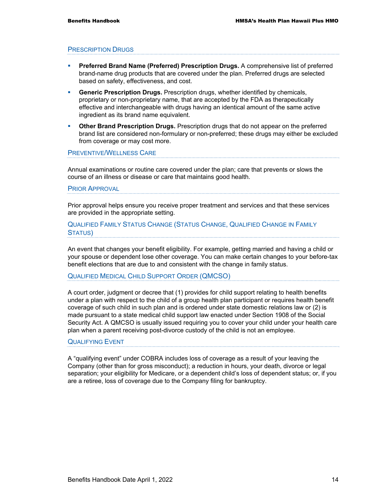#### PRESCRIPTION DRUGS

- **Preferred Brand Name (Preferred) Prescription Drugs.** A comprehensive list of preferred brand-name drug products that are covered under the plan. Preferred drugs are selected based on safety, effectiveness, and cost.
- **Generic Prescription Drugs.** Prescription drugs, whether identified by chemicals, proprietary or non-proprietary name, that are accepted by the FDA as therapeutically effective and interchangeable with drugs having an identical amount of the same active ingredient as its brand name equivalent.
- **Other Brand Prescription Drugs.** Prescription drugs that do not appear on the preferred brand list are considered non-formulary or non-preferred; these drugs may either be excluded from coverage or may cost more.

#### PREVENTIVE/WELLNESS CARE

Annual examinations or routine care covered under the plan; care that prevents or slows the course of an illness or disease or care that maintains good health.

#### PRIOR APPROVAL

Prior approval helps ensure you receive proper treatment and services and that these services are provided in the appropriate setting.

#### QUALIFIED FAMILY STATUS CHANGE (STATUS CHANGE, QUALIFIED CHANGE IN FAMILY STATUS)

An event that changes your benefit eligibility. For example, getting married and having a child or your spouse or dependent lose other coverage. You can make certain changes to your before-tax benefit elections that are due to and consistent with the change in family status.

#### QUALIFIED MEDICAL CHILD SUPPORT ORDER (QMCSO)

A court order, judgment or decree that (1) provides for child support relating to health benefits under a plan with respect to the child of a group health plan participant or requires health benefit coverage of such child in such plan and is ordered under state domestic relations law or (2) is made pursuant to a state medical child support law enacted under Section 1908 of the Social Security Act. A QMCSO is usually issued requiring you to cover your child under your health care plan when a parent receiving post-divorce custody of the child is not an employee.

#### QUALIFYING EVENT

A "qualifying event" under COBRA includes loss of coverage as a result of your leaving the Company (other than for gross misconduct); a reduction in hours, your death, divorce or legal separation; your eligibility for Medicare, or a dependent child's loss of dependent status; or, if you are a retiree, loss of coverage due to the Company filing for bankruptcy.